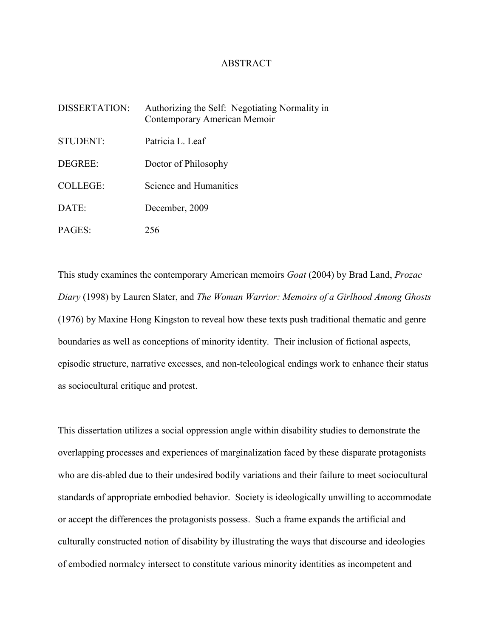## ABSTRACT

| DISSERTATION:   | Authorizing the Self: Negotiating Normality in<br>Contemporary American Memoir |
|-----------------|--------------------------------------------------------------------------------|
| STUDENT:        | Patricia L. Leaf                                                               |
| DEGREE:         | Doctor of Philosophy                                                           |
| <b>COLLEGE:</b> | Science and Humanities                                                         |
| DATE:           | December, 2009                                                                 |
| PAGES:          | 256                                                                            |

This study examines the contemporary American memoirs *Goat* (2004) by Brad Land, *Prozac Diary* (1998) by Lauren Slater, and *The Woman Warrior: Memoirs of a Girlhood Among Ghosts* (1976) by Maxine Hong Kingston to reveal how these texts push traditional thematic and genre boundaries as well as conceptions of minority identity. Their inclusion of fictional aspects, episodic structure, narrative excesses, and non-teleological endings work to enhance their status as sociocultural critique and protest.

This dissertation utilizes a social oppression angle within disability studies to demonstrate the overlapping processes and experiences of marginalization faced by these disparate protagonists who are dis-abled due to their undesired bodily variations and their failure to meet sociocultural standards of appropriate embodied behavior. Society is ideologically unwilling to accommodate or accept the differences the protagonists possess. Such a frame expands the artificial and culturally constructed notion of disability by illustrating the ways that discourse and ideologies of embodied normalcy intersect to constitute various minority identities as incompetent and